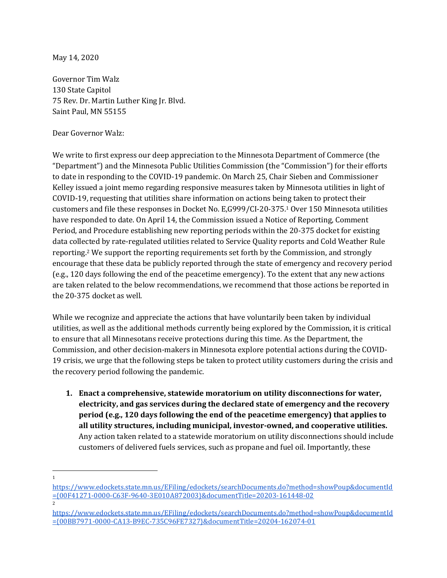May 14, 2020

Governor Tim Walz 130 State Capitol 75 Rev. Dr. Martin Luther King Jr. Blvd. Saint Paul, MN 55155

Dear Governor Walz:

We write to first express our deep appreciation to the Minnesota Department of Commerce (the "Department") and the Minnesota Public Utilities Commission (the "Commission") for their efforts to date in responding to the COVID-19 pandemic. On March 25, Chair Sieben and Commissioner Kelley issued a joint memo regarding responsive measures taken by Minnesota utilities in light of COVID-19, requesting that utilities share information on actions being taken to protect their customers and file these responses in Docket No. E,G999/CI-20-375.<sup>1</sup> Over 150 Minnesota utilities have responded to date. On April 14, the Commission issued a Notice of Reporting, Comment Period, and Procedure establishing new reporting periods within the 20-375 docket for existing data collected by rate-regulated utilities related to Service Quality reports and Cold Weather Rule reporting.<sup>2</sup> We support the reporting requirements set forth by the Commission, and strongly encourage that these data be publicly reported through the state of emergency and recovery period (e.g., 120 days following the end of the peacetime emergency). To the extent that any new actions are taken related to the below recommendations, we recommend that those actions be reported in the 20-375 docket as well.

While we recognize and appreciate the actions that have voluntarily been taken by individual utilities, as well as the additional methods currently being explored by the Commission, it is critical to ensure that all Minnesotans receive protections during this time. As the Department, the Commission, and other decision-makers in Minnesota explore potential actions during the COVID-19 crisis, we urge that the following steps be taken to protect utility customers during the crisis and the recovery period following the pandemic.

**1. Enact a comprehensive, statewide moratorium on utility disconnections for water, electricity, and gas services during the declared state of emergency and the recovery period (e.g., 120 days following the end of the peacetime emergency) that applies to all utility structures, including municipal, investor-owned, and cooperative utilities.** Any action taken related to a statewide moratorium on utility disconnections should include customers of delivered fuels services, such as propane and fuel oil. Importantly, these

2

<sup>1</sup>

[https://www.edockets.state.mn.us/EFiling/edockets/searchDocuments.do?method=showPoup&documentId](https://www.edockets.state.mn.us/EFiling/edockets/searchDocuments.do?method=showPoup&documentId=%7B00F41271-0000-C63F-9640-3E010A872003%7D&documentTitle=20203-161448-02) [={00F41271-0000-C63F-9640-3E010A872003}&documentTitle=20203-161448-02](https://www.edockets.state.mn.us/EFiling/edockets/searchDocuments.do?method=showPoup&documentId=%7B00F41271-0000-C63F-9640-3E010A872003%7D&documentTitle=20203-161448-02)

[https://www.edockets.state.mn.us/EFiling/edockets/searchDocuments.do?method=showPoup&documentId](https://www.edockets.state.mn.us/EFiling/edockets/searchDocuments.do?method=showPoup&documentId=%7B00BB7971-0000-CA13-B9EC-735C96FE7327%7D&documentTitle=20204-162074-01) [={00BB7971-0000-CA13-B9EC-735C96FE7327}&documentTitle=20204-162074-01](https://www.edockets.state.mn.us/EFiling/edockets/searchDocuments.do?method=showPoup&documentId=%7B00BB7971-0000-CA13-B9EC-735C96FE7327%7D&documentTitle=20204-162074-01)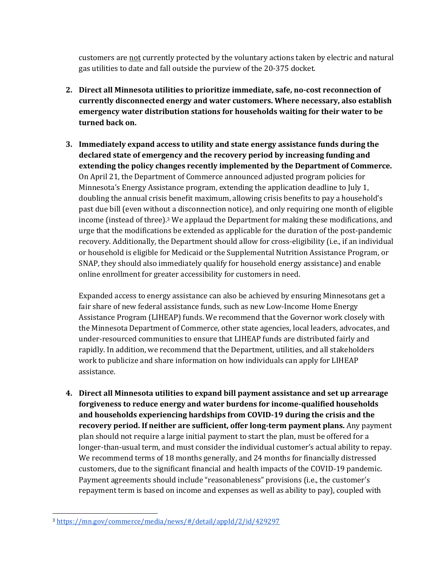customers are not currently protected by the voluntary actions taken by electric and natural gas utilities to date and fall outside the purview of the 20-375 docket.

- **2. Direct all Minnesota utilities to prioritize immediate, safe, no-cost reconnection of currently disconnected energy and water customers. Where necessary, also establish emergency water distribution stations for households waiting for their water to be turned back on.**
- **3. Immediately expand access to utility and state energy assistance funds during the declared state of emergency and the recovery period by increasing funding and extending the policy changes recently implemented by the Department of Commerce.** On April 21, the Department of Commerce announced adjusted program policies for Minnesota's Energy Assistance program, extending the application deadline to July 1, doubling the annual crisis benefit maximum, allowing crisis benefits to pay a household's past due bill (even without a disconnection notice), and only requiring one month of eligible income (instead of three).<sup>3</sup> We applaud the Department for making these modifications, and urge that the modifications be extended as applicable for the duration of the post-pandemic recovery. Additionally, the Department should allow for cross-eligibility (i.e., if an individual or household is eligible for Medicaid or the Supplemental Nutrition Assistance Program, or SNAP, they should also immediately qualify for household energy assistance) and enable online enrollment for greater accessibility for customers in need.

Expanded access to energy assistance can also be achieved by ensuring Minnesotans get a fair share of new federal assistance funds, such as new Low-Income Home Energy Assistance Program (LIHEAP) funds. We recommend that the Governor work closely with the Minnesota Department of Commerce, other state agencies, local leaders, advocates, and under-resourced communities to ensure that LIHEAP funds are distributed fairly and rapidly. In addition, we recommend that the Department, utilities, and all stakeholders work to publicize and share information on how individuals can apply for LIHEAP assistance.

**4. Direct all Minnesota utilities to expand bill payment assistance and set up arrearage forgiveness to reduce energy and water burdens for income-qualified households and households experiencing hardships from COVID-19 during the crisis and the recovery period. If neither are sufficient, offer long-term payment plans.** Any payment plan should not require a large initial payment to start the plan, must be offered for a longer-than-usual term, and must consider the individual customer's actual ability to repay. We recommend terms of 18 months generally, and 24 months for financially distressed customers, due to the significant financial and health impacts of the COVID-19 pandemic. Payment agreements should include "reasonableness" provisions (i.e., the customer's repayment term is based on income and expenses as well as ability to pay), coupled with

<sup>3</sup> <https://mn.gov/commerce/media/news/#/detail/appId/2/id/429297>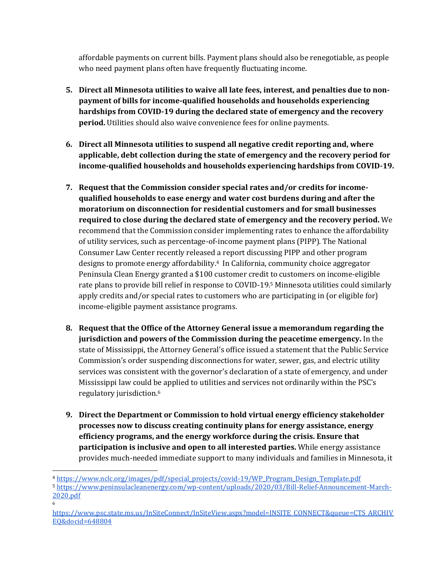affordable payments on current bills. Payment plans should also be renegotiable, as people who need payment plans often have frequently fluctuating income.

- **5. Direct all Minnesota utilities to waive all late fees, interest, and penalties due to nonpayment of bills for income-qualified households and households experiencing hardships from COVID-19 during the declared state of emergency and the recovery period.** Utilities should also waive convenience fees for online payments.
- **6. Direct all Minnesota utilities to suspend all negative credit reporting and, where applicable, debt collection during the state of emergency and the recovery period for income-qualified households and households experiencing hardships from COVID-19.**
- **7. Request that the Commission consider special rates and/or credits for incomequalified households to ease energy and water cost burdens during and after the moratorium on disconnection for residential customers and for small businesses required to close during the declared state of emergency and the recovery period.** We recommend that the Commission consider implementing rates to enhance the affordability of utility services, such as percentage-of-income payment plans (PIPP). The National Consumer Law Center recently released a report discussing PIPP and other program designs to promote energy affordability.4 In California, community choice aggregator Peninsula Clean Energy granted a \$100 customer credit to customers on income-eligible rate plans to provide bill relief in response to COVID-19.<sup>5</sup> Minnesota utilities could similarly apply credits and/or special rates to customers who are participating in (or eligible for) income-eligible payment assistance programs.
- **8. Request that the Office of the Attorney General issue a memorandum regarding the jurisdiction and powers of the Commission during the peacetime emergency.** In the state of Mississippi, the Attorney General's office issued a statement that the Public Service Commission's order suspending disconnections for water, sewer, gas, and electric utility services was consistent with the governor's declaration of a state of emergency, and under Mississippi law could be applied to utilities and services not ordinarily within the PSC's regulatory jurisdiction.<sup>6</sup>
- **9. Direct the Department or Commission to hold virtual energy efficiency stakeholder processes now to discuss creating continuity plans for energy assistance, energy efficiency programs, and the energy workforce during the crisis. Ensure that participation is inclusive and open to all interested parties.** While energy assistance provides much-needed immediate support to many individuals and families in Minnesota, it

6

<sup>4</sup> [https://www.nclc.org/images/pdf/special\\_projects/covid-19/WP\\_Program\\_Design\\_Template.pdf](https://www.nclc.org/images/pdf/special_projects/covid-19/WP_Program_Design_Template.pdf)

<sup>5</sup> [https://www.peninsulacleanenergy.com/wp-content/uploads/2020/03/Bill-Relief-Announcement-March-](https://www.peninsulacleanenergy.com/wp-content/uploads/2020/03/Bill-Relief-Announcement-March-2020.pdf)[2020.pdf](https://www.peninsulacleanenergy.com/wp-content/uploads/2020/03/Bill-Relief-Announcement-March-2020.pdf)

[https://www.psc.state.ms.us/InSiteConnect/InSiteView.aspx?model=INSITE\\_CONNECT&queue=CTS\\_ARCHIV](https://www.psc.state.ms.us/InSiteConnect/InSiteView.aspx?model=INSITE_CONNECT&queue=CTS_ARCHIVEQ&docid=648804) [EQ&docid=648804](https://www.psc.state.ms.us/InSiteConnect/InSiteView.aspx?model=INSITE_CONNECT&queue=CTS_ARCHIVEQ&docid=648804)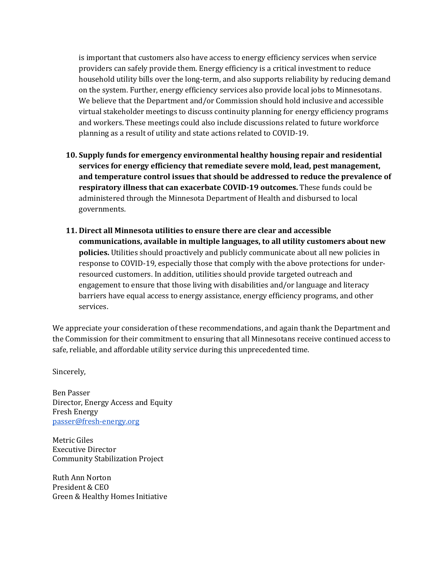is important that customers also have access to energy efficiency services when service providers can safely provide them. Energy efficiency is a critical investment to reduce household utility bills over the long-term, and also supports reliability by reducing demand on the system. Further, energy efficiency services also provide local jobs to Minnesotans. We believe that the Department and/or Commission should hold inclusive and accessible virtual stakeholder meetings to discuss continuity planning for energy efficiency programs and workers. These meetings could also include discussions related to future workforce planning as a result of utility and state actions related to COVID-19.

- **10. Supply funds for emergency environmental healthy housing repair and residential services for energy efficiency that remediate severe mold, lead, pest management, and temperature control issues that should be addressed to reduce the prevalence of respiratory illness that can exacerbate COVID-19 outcomes.** These funds could be administered through the Minnesota Department of Health and disbursed to local governments.
- **11. Direct all Minnesota utilities to ensure there are clear and accessible communications, available in multiple languages, to all utility customers about new policies.** Utilities should proactively and publicly communicate about all new policies in response to COVID-19, especially those that comply with the above protections for underresourced customers. In addition, utilities should provide targeted outreach and engagement to ensure that those living with disabilities and/or language and literacy barriers have equal access to energy assistance, energy efficiency programs, and other services.

We appreciate your consideration of these recommendations, and again thank the Department and the Commission for their commitment to ensuring that all Minnesotans receive continued access to safe, reliable, and affordable utility service during this unprecedented time.

Sincerely,

Ben Passer Director, Energy Access and Equity Fresh Energy [passer@fresh-energy.org](mailto:passer@fresh-energy.org)

Metric Giles Executive Director Community Stabilization Project

Ruth Ann Norton President & CEO Green & Healthy Homes Initiative